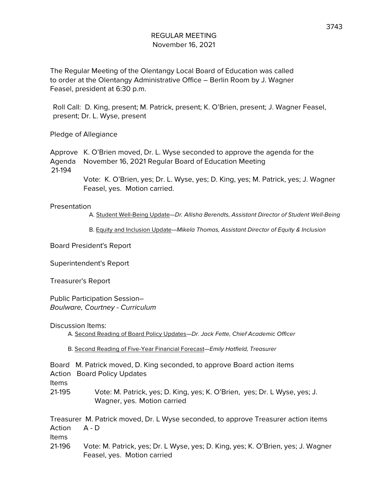The Regular Meeting of the Olentangy Local Board of Education was called to order at the Olentangy Administrative Office – Berlin Room by J. Wagner Feasel, president at 6:30 p.m.

Roll Call: D. King, present; M. Patrick, present; K. O'Brien, present; J. Wagner Feasel, present; Dr. L. Wyse, present

Pledge of Allegiance

Approve K. O'Brien moved, Dr. L. Wyse seconded to approve the agenda for the Agenda November 16, 2021 Regular Board of Education Meeting 21-194

> Vote: K. O'Brien, yes; Dr. L. Wyse, yes; D. King, yes; M. Patrick, yes; J. Wagner Feasel, yes. Motion carried.

#### Presentation

A. Student Well-Being Update-Dr. Allisha Berendts, Assistant Director of Student Well-Being

B. Equity and Inclusion Update—Mikela Thomas, Assistant Director of Equity & Inclusion

Board President's Report

Superintendent's Report

Treasurer's Report

Public Participation Session– Boulware, Courtney - Curriculum

Discussion Items:

A. Second Reading of Board Policy Updates-Dr. Jack Fette, Chief Academic Officer

B. Second Reading of Five-Year Financial Forecast—Emily Hatfield, Treasurer

| Board M. Patrick moved, D. King seconded, to approve Board action items |
|-------------------------------------------------------------------------|
| <b>Action Board Policy Updates</b>                                      |

Items

21-195 Vote: M. Patrick, yes; D. King, yes; K. O'Brien, yes; Dr. L Wyse, yes; J. Wagner, yes. Motion carried

Treasurer M. Patrick moved, Dr. L Wyse seconded, to approve Treasurer action items Action A - D Items

21-196 Vote: M. Patrick, yes; Dr. L Wyse, yes; D. King, yes; K. O'Brien, yes; J. Wagner Feasel, yes. Motion carried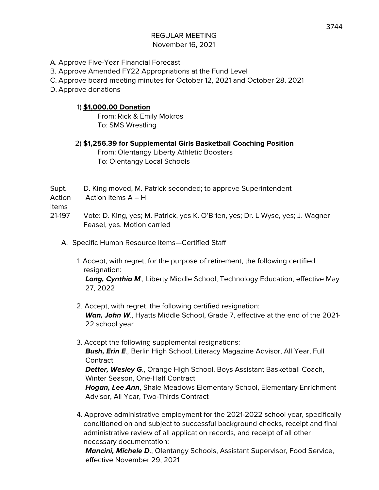- A. Approve Five-Year Financial Forecast
- B. Approve Amended FY22 Appropriations at the Fund Level
- C. Approve board meeting minutes for October 12, 2021 and October 28, 2021
- D. Approve donations

### 1) **\$1,000.00 Donation**

From: Rick & Emily Mokros To: SMS Wrestling

#### 2) **\$1,256.39 for Supplemental Girls Basketball Coaching Position**

From: Olentangy Liberty Athletic Boosters To: Olentangy Local Schools

- Supt. D. King moved, M. Patrick seconded; to approve Superintendent
- Action Action Items A H

Items

- 21-197 Vote: D. King, yes; M. Patrick, yes K. O'Brien, yes; Dr. L Wyse, yes; J. Wagner Feasel, yes. Motion carried
	- A. Specific Human Resource Items—Certified Staff
		- 1. Accept, with regret, for the purpose of retirement, the following certified resignation:

**Long, Cynthia M**., Liberty Middle School, Technology Education, effective May 27, 2022

- 2. Accept, with regret, the following certified resignation: **Wan, John W**., Hyatts Middle School, Grade 7, effective at the end of the 2021- 22 school year
- 3. Accept the following supplemental resignations: **Bush, Erin E**., Berlin High School, Literacy Magazine Advisor, All Year, Full **Contract Detter, Wesley G**., Orange High School, Boys Assistant Basketball Coach, Winter Season, One-Half Contract

**Hogan, Lee Ann**, Shale Meadows Elementary School, Elementary Enrichment Advisor, All Year, Two-Thirds Contract

4. Approve administrative employment for the 2021-2022 school year, specifically conditioned on and subject to successful background checks, receipt and final administrative review of all application records, and receipt of all other necessary documentation:

**Mancini, Michele D**., Olentangy Schools, Assistant Supervisor, Food Service, effective November 29, 2021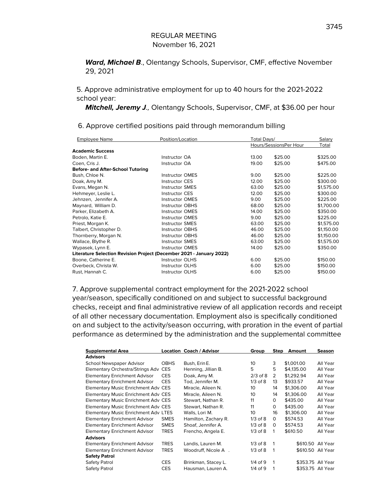**Ward, Michael B**., Olentangy Schools, Supervisor, CMF, effective November 29, 2021

5. Approve administrative employment for up to 40 hours for the 2021-2022 school year:

**Mitchell, Jeremy J**., Olentangy Schools, Supervisor, CMF, at \$36.00 per hour

| Position/Location                                                    |       | Total Days/ |                        |  |
|----------------------------------------------------------------------|-------|-------------|------------------------|--|
|                                                                      |       |             | Total                  |  |
|                                                                      |       |             |                        |  |
| Instructor OA                                                        | 13.00 | \$25.00     | \$325.00               |  |
| Instructor OA                                                        | 19.00 | \$25.00     | \$475.00               |  |
| Before- and After-School Tutoring                                    |       |             |                        |  |
| <b>Instructor OMES</b>                                               | 9.00  | \$25.00     | \$225.00               |  |
| <b>Instructor CES</b>                                                | 12.00 | \$25.00     | \$300.00               |  |
| <b>Instructor SMES</b>                                               | 63.00 | \$25.00     | \$1,575.00             |  |
| <b>Instructor CES</b>                                                | 12.00 | \$25.00     | \$300.00               |  |
| <b>Instructor OMES</b>                                               | 9.00  | \$25.00     | \$225.00               |  |
| <b>Instructor OBHS</b>                                               | 68.00 | \$25.00     | \$1,700.00             |  |
| <b>Instructor OMES</b>                                               | 14.00 | \$25.00     | \$350.00               |  |
| <b>Instructor OMES</b>                                               | 9.00  | \$25.00     | \$225.00               |  |
| <b>Instructor SMES</b>                                               | 63.00 | \$25.00     | \$1,575.00             |  |
| <b>Instructor OBHS</b>                                               | 46.00 | \$25.00     | \$1,150.00             |  |
| <b>Instructor OBHS</b>                                               | 46.00 | \$25.00     | \$1,150.00             |  |
| <b>Instructor SMES</b>                                               | 63.00 | \$25.00     | \$1,575.00             |  |
| <b>Instructor OMES</b>                                               | 14.00 | \$25.00     | \$350.00               |  |
| Literature Selection Revision Project (December 2021 - January 2022) |       |             |                        |  |
| <b>Instructor OLHS</b>                                               | 6.00  | \$25.00     | \$150.00               |  |
| <b>Instructor OLHS</b>                                               | 6.00  | \$25.00     | \$150.00               |  |
| <b>Instructor OLHS</b>                                               | 6.00  | \$25.00     | \$150.00               |  |
|                                                                      |       |             | Hours/SessionsPer Hour |  |

6. Approve certified positions paid through memorandum billing

7. Approve supplemental contract employment for the 2021-2022 school year/season, specifically conditioned on and subject to successful background checks, receipt and final administrative review of all application records and receipt of all other necessary documentation. Employment also is specifically conditioned on and subject to the activity/season occurring, with proration in the event of partial performance as determined by the administration and the supplemental committee

| <b>Supplemental Area</b>                   |             | <b>Location Coach / Advisor</b> | Group        | Step | Amount     | Season            |
|--------------------------------------------|-------------|---------------------------------|--------------|------|------------|-------------------|
| <b>Advisors</b>                            |             |                                 |              |      |            |                   |
| School Newspaper Advisor                   | <b>OBHS</b> | Bush, Erin E.                   | 10           | 3    | \$1,001.00 | All Year          |
| Elementary Orchestra/Strings Adv CES       |             | Henning, Jillian B.             | 5            | 5    | \$4,135.00 | All Year          |
| Elementary Enrichment Advisor              | <b>CES</b>  | Doak, Amy M.                    | $2/3$ of $8$ | 2    | \$1,292.94 | All Year          |
| <b>Elementary Enrichment Advisor</b>       | <b>CES</b>  | Tod, Jennifer M.                | $1/3$ of $8$ | 13   | \$933.57   | All Year          |
| <b>Elementary Music Enrichment Adv CES</b> |             | Miracle, Aileen N.              | 10           | 14   | \$1,306.00 | All Year          |
| Elementary Music Enrichment Adv CES        |             | Miracle, Aileen N.              | 10           | 14   | \$1,306.00 | All Year          |
| Elementary Music Enrichment Adv CES        |             | Stewart, Nathan R.              | 11           | 0    | \$435.00   | All Year          |
| Elementary Music Enrichment Adv CES        |             | Stewart, Nathan R.              | 11           | 0    | \$435.00   | All Year          |
| Elementary Music Enrichment Adv LTES       |             | Walls, Lori M.                  | 10           | 16   | \$1,306.00 | All Year          |
| <b>Elementary Enrichment Advisor</b>       | <b>SMES</b> | Hamilton, Zachary R.            | $1/3$ of $8$ | 0    | \$574.53   | All Year          |
| <b>Elementary Enrichment Advisor</b>       | <b>SMES</b> | Shoaf, Jennifer A.              | $1/3$ of $8$ | 0    | \$574.53   | All Year          |
| <b>Elementary Enrichment Advisor</b>       | <b>TRES</b> | Frencho, Angela E.              | $1/3$ of $8$ | 1    | \$610.50   | All Year          |
| <b>Advisors</b>                            |             |                                 |              |      |            |                   |
| <b>Elementary Enrichment Advisor</b>       | <b>TRES</b> | Landis, Lauren M.               | $1/3$ of $8$ | 1    |            | \$610.50 All Year |
| <b>Elementary Enrichment Advisor</b>       | <b>TRES</b> | Woodruff, Nicole A.             | $1/3$ of $8$ | 1    |            | \$610.50 All Year |
| <b>Safety Patrol</b>                       |             |                                 |              |      |            |                   |
| Safety Patrol                              | <b>CES</b>  | Brinkman, Stacey L.             | $1/4$ of 9   | 1    |            | \$353.75 All Year |
| Safety Patrol                              | <b>CES</b>  | Hausman, Lauren A.              | $1/4$ of 9   | 1    |            | \$353.75 All Year |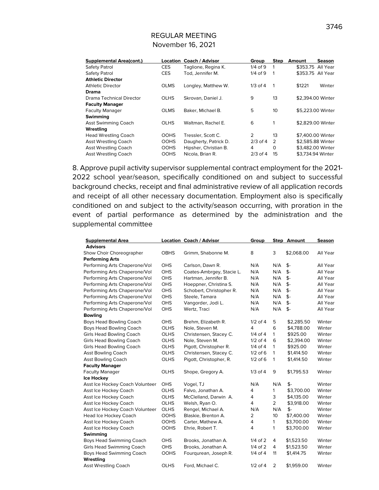| <b>Supplemental Area(cont.)</b> | Location    | <b>Coach / Advisor</b> | Group        | <b>Step</b> | Amount | <b>Season</b>     |
|---------------------------------|-------------|------------------------|--------------|-------------|--------|-------------------|
| Safety Patrol                   | <b>CES</b>  | Taglione, Regina K.    | $1/4$ of 9   | 1           |        | \$353.75 All Year |
| Safety Patrol                   | <b>CES</b>  | Tod. Jennifer M.       | $1/4$ of $9$ | 1           |        | \$353.75 All Year |
| <b>Athletic Director</b>        |             |                        |              |             |        |                   |
| <b>Athletic Director</b>        | <b>OLMS</b> | Longley, Matthew W.    | $1/3$ of $4$ | 1           | \$1221 | Winter            |
| Drama                           |             |                        |              |             |        |                   |
| Drama Technical Director        | <b>OLHS</b> | Skrovan, Daniel J.     | 9            | 13          |        | \$2.394.00 Winter |
| <b>Faculty Manager</b>          |             |                        |              |             |        |                   |
| <b>Faculty Manager</b>          | <b>OLMS</b> | Baker, Michael B.      | 5            | 10          |        | \$5,223,00 Winter |
| Swimming                        |             |                        |              |             |        |                   |
| <b>Asst Swimming Coach</b>      | <b>OLHS</b> | Waltman, Rachel E.     | 6            | 1           |        | \$2,829,00 Winter |
| Wrestling                       |             |                        |              |             |        |                   |
| <b>Head Wrestling Coach</b>     | <b>OOHS</b> | Tressler, Scott C.     | 2            | 13          |        | \$7,400.00 Winter |
| <b>Asst Wrestling Coach</b>     | <b>OOHS</b> | Daugherty, Patrick D.  | $2/3$ of 4   | 2           |        | \$2,585.88 Winter |
| <b>Asst Wrestling Coach</b>     | <b>OOHS</b> | Hipsher, Christian B.  | 4            | $\Omega$    |        | \$3,482.00 Winter |
| Asst Wrestling Coach            | <b>OOHS</b> | Nicola, Brian R.       | $2/3$ of 4   | 15          |        | \$3.734.94 Winter |

8. Approve pupil activity supervisor supplemental contract employment for the 2021- 2022 school year/season, specifically conditioned on and subject to successful background checks, receipt and final administrative review of all application records and receipt of all other necessary documentation. Employment also is specifically conditioned on and subject to the activity/season occurring, with proration in the event of partial performance as determined by the administration and the supplemental committee

| <b>Supplemental Area</b>        |             | Location Coach / Advisor  | Group          |                | <b>Step Amount</b> | Season   |
|---------------------------------|-------------|---------------------------|----------------|----------------|--------------------|----------|
| <b>Advisors</b>                 |             |                           |                |                |                    |          |
| Show Choir Choreographer        | <b>OBHS</b> | Grimm, Shabonne M.        | 8              | 3              | \$2,068.00         | All Year |
| <b>Performing Arts</b>          |             |                           |                |                |                    |          |
| Performing Arts Chaperone/Vol   | <b>OHS</b>  | Carlson, Dawn R.          | N/A            | N/A            | \$-                | All Year |
| Performing Arts Chaperone/Vol   | OHS         | Coates-Ambrgey, Stacie L. | N/A            | N/A            | $$-$               | All Year |
| Performing Arts Chaperone/Vol   | OHS         | Hartman, Jennifer B.      | N/A            | N/A            | $$-$               | All Year |
| Performing Arts Chaperone/Vol   | OHS         | Hoeppner, Christina S.    | N/A            | N/A            | \$-                | All Year |
| Performing Arts Chaperone/Vol   | OHS         | Schobert, Christopher R.  | N/A            | N/A            | $$-$               | All Year |
| Performing Arts Chaperone/Vol   | OHS         | Steele, Tamara            | N/A            | N/A            | \$-                | All Year |
| Performing Arts Chaperone/Vol   | <b>OHS</b>  | Vangorder, Jodi L.        | N/A            | N/A            | \$-                | All Year |
| Performing Arts Chaperone/Vol   | OHS         | Wertz, Traci              | N/A            | N/A            | \$-                | All Year |
| <b>Bowling</b>                  |             |                           |                |                |                    |          |
| Boys Head Bowling Coach         | <b>OHS</b>  | Brehm, Elizabeth R.       | $1/2$ of 4     | 5              | \$2,285.50         | Winter   |
| Boys Head Bowling Coach         | <b>OLHS</b> | Nole, Steven M.           | 4              | 6              | \$4,788.00         | Winter   |
| <b>Girls Head Bowling Coach</b> | <b>OLHS</b> | Christensen, Stacey C.    | $1/4$ of $4$   | $\mathbf{1}$   | \$925.00           | Winter   |
| Girls Head Bowling Coach        | <b>OLHS</b> | Nole, Steven M.           | $1/2$ of 4     | 6              | \$2,394.00         | Winter   |
| <b>Girls Head Bowling Coach</b> | <b>OLHS</b> | Pigott, Christopher R.    | $1/4$ of $4$   | 1              | \$925.00           | Winter   |
| <b>Asst Bowling Coach</b>       | <b>OLHS</b> | Christensen, Stacey C.    | $1/2$ of 6     | 1              | \$1,414.50         | Winter   |
| <b>Asst Bowling Coach</b>       | <b>OLHS</b> | Pigott, Christopher, R.   | $1/2$ of 6     | $\mathbf{1}$   | \$1,414.50         | Winter   |
| <b>Faculty Manager</b>          |             |                           |                |                |                    |          |
| <b>Faculty Manager</b>          | <b>OLHS</b> | Shope, Gregory A.         | $1/3$ of $4$   | 9              | \$1,795.53         | Winter   |
| <b>Ice Hockey</b>               |             |                           |                |                |                    |          |
| Asst Ice Hockey Coach Volunteer | <b>OHS</b>  | Vogel, TJ                 | N/A            | N/A            | \$-                | Winter   |
| Asst Ice Hockey Coach           | <b>OLHS</b> | Falvo, Jonathan A.        | 4              | $\mathbf{1}$   | \$3,700.00         | Winter   |
| Asst Ice Hockey Coach           | <b>OLHS</b> | McClelland, Darwin A.     | 4              | 3              | \$4,135.00         | Winter   |
| Asst Ice Hockey Coach           | <b>OLHS</b> | Welsh, Ryan O.            | 4              | $\overline{2}$ | \$3,918.00         | Winter   |
| Asst Ice Hockey Coach Volunteer | <b>OLHS</b> | Rengel, Michael A.        | N/A            | N/A            | \$-                | Winter   |
| Head Ice Hockey Coach           | <b>OOHS</b> | Blaskie, Brenton A.       | 2              | 10             | \$7,400.00         | Winter   |
| Asst Ice Hockey Coach           | <b>OOHS</b> | Carter, Mathew A.         | $\overline{4}$ | 1              | \$3,700.00         | Winter   |
| Asst Ice Hockey Coach           | <b>OOHS</b> | Ehrie, Robert T.          | $\overline{4}$ | 1              | \$3,700.00         | Winter   |
| Swimming                        |             |                           |                |                |                    |          |
| Boys Head Swimming Coach        | <b>OHS</b>  | Brooks, Jonathan A.       | $1/4$ of $2$   | 4              | \$1,523.50         | Winter   |
| Girls Head Swimming Coach       | <b>OHS</b>  | Brooks, Jonathan A.       | $1/4$ of $2$   | 4              | \$1,523.50         | Winter   |
| Boys Head Swimming Coach        | <b>OOHS</b> | Fourgurean, Joseph R.     | $1/4$ of $4$   | 11             | \$1,414.75         | Winter   |
| Wrestling                       |             |                           |                |                |                    |          |
| <b>Asst Wrestling Coach</b>     | <b>OLHS</b> | Ford, Michael C.          | $1/2$ of 4     | 2              | \$1,959.00         | Winter   |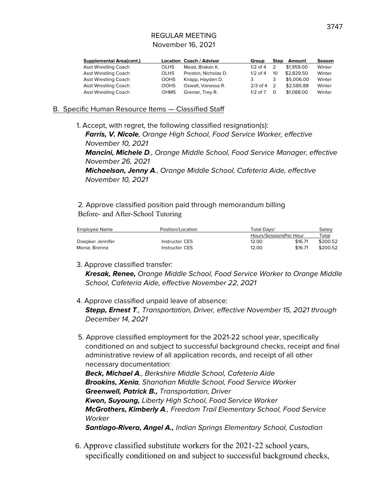|             |                      | Group                           |    | Amount     | <b>Season</b>             |
|-------------|----------------------|---------------------------------|----|------------|---------------------------|
| <b>OLHS</b> | Mead, Brakan K.      | $1/2$ of 4                      |    | \$1,959.00 | Winter                    |
| <b>OLHS</b> | Preston, Nicholas D. | $1/2$ of 4                      | 10 |            | Winter                    |
| <b>OOHS</b> | Knapp, Hayden D.     |                                 |    | \$5,006.00 | Winter                    |
| <b>OOHS</b> | Oswalt, Vanessa R.   | $2/3$ of 4                      |    | \$2,585.88 | Winter                    |
| <b>OHMS</b> | Grenier, Trev R.     | $1/2$ of $7$                    | Ο  | \$1,088,00 | Winter                    |
|             |                      | <b>Location Coach / Advisor</b> |    |            | <b>Step</b><br>\$2,829.50 |

#### B. Specific Human Resource Items — Classified Staff

1. Accept, with regret, the following classified resignation(s):

**Farris, V. Nicole**, Orange High School, Food Service Worker, effective November 10, 2021

**Mancini, Michele D**., Orange Middle School, Food Service Manager, effective November 26, 2021

**Michaelson, Jenny A**., Orange Middle School, Cafeteria Aide, effective November 10, 2021

2. Approve classified position paid through memorandum billing Before- and After-School Tutoring

| Employee Name    | Position/Location | Total Davs/            |         |          |
|------------------|-------------------|------------------------|---------|----------|
|                  |                   | Hours/SessionsPer Hour |         | Total    |
| Doepker Jennifer | Instructor CES    | 12.00                  | \$16.71 | \$200.52 |
| Morse, Brenna    | Instructor CES    | 12.00                  | \$16.71 | \$200.52 |

### 3. Approve classified transfer:

**Kresak, Renee,** Orange Middle School, Food Service Worker to Orange Middle School, Cafeteria Aide, effective November 22, 2021

- 4. Approve classified unpaid leave of absence: **Stepp, Ernest T**., Transportation, Driver, effective November 15, 2021 through December 14, 2021
- 5. Approve classified employment for the 2021-22 school year, specifically conditioned on and subject to successful background checks, receipt and final administrative review of all application records, and receipt of all other necessary documentation:

**Beck, Michael A**., Berkshire Middle School, Cafeteria Aide **Brookins, Xenia**, Shanahan Middle School, Food Service Worker **Greenwell, Patrick B.,** Transportation, Driver **Kwon, Suyoung,** Liberty High School, Food Service Worker **McGrothers, Kimberly A**., Freedom Trail Elementary School, Food Service **Worker** 

**Santiago-Rivera, Angel A.,** Indian Springs Elementary School, Custodian

6. Approve classified substitute workers for the 2021-22 school years, specifically conditioned on and subject to successful background checks,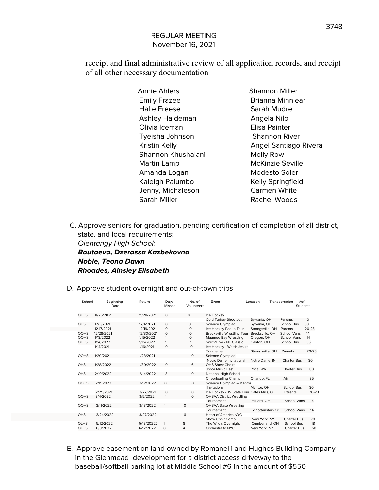receipt and final administrative review of all application records, and receipt of all other necessary documentation

| <b>Annie Ahlers</b>    | <b>Shannon Miller</b> |
|------------------------|-----------------------|
| <b>Emily Frazee</b>    | Brianna Minnie        |
| <b>Halle Freese</b>    | Sarah Mudre           |
| <b>Ashley Haldeman</b> | Angela Nilo           |
| Olivia Iceman          | Elisa Painter         |
| Tyeisha Johnson        | <b>Shannon River</b>  |
| Kristin Kelly          | <b>Angel Santiago</b> |
| Shannon Khushalani     | Molly Row             |
| Martin Lamp            | McKinzie Sevill       |
| Amanda Logan           | Modesto Soler         |
| Kaleigh Palumbo        | Kelly Springfiel      |
| Jenny, Michaleson      | <b>Carmen White</b>   |
| Sarah Miller           | <b>Rachel Woods</b>   |
|                        |                       |

Brianna Minniear Sarah Mudre Angela Nilo Elisa Painter Shannon River Angel Santiago Rivera Molly Row McKinzie Seville Modesto Soler Kelly Springfield Carmen White Rachel Woods

C. Approve seniors for graduation, pending certification of completion of all district, state, and local requirements: Olentangy High School: **Boutaeva, Dzerassa Kazbekovna Noble, Teona Dawn Rhoades, Ainsley Elisabeth**

D. Approve student overnight and out-of-town trips

| <b>OLHS</b><br>11/26/2021<br>11/28/2021<br>0<br>Ice Hockey<br>$\Omega$<br>Cold Turkey Shootout<br>Sylvania, OH<br>40<br>Parents<br>Science Olympiad<br>30<br><b>OHS</b><br>12/3/2021<br>12/4/2021<br>Sylvania, OH<br>School Bus<br>0<br>$\Omega$<br>Ice Hockey Padua Tour<br>$20 - 23$<br>12.17/2021<br>12/19/2021<br>0<br>Strongsville, OH<br>$\Omega$<br>Parents<br>12/28/2021<br><b>OOHS</b><br>12/30/2021<br>$\circ$<br><b>Brecksville Wrestling Tour</b><br>Brecksville, OH<br><b>School Vans</b><br>14<br>0<br><b>OOHS</b><br>0<br>Maumee Bay Wrestling<br>14<br>1/13/2022<br>1/15/2022<br>Oregon, OH<br><b>School Vans</b><br>Swim/Dive - NE Classic<br><b>OLHS</b><br>1/14/2022<br>35<br>1/15/2022<br>School Bus<br>Canton, OH<br>$\Omega$<br>1/14/2021<br>1/16/2021<br>$\Omega$<br>Ice Hockey - Walsh Jesuit<br>$20 - 23$<br>Tournamant<br>Strongsville, OH<br>Parents<br><b>OOHS</b><br>1/20/2021<br>1/23/2021<br>0<br>Science Olympiad<br>1<br>Notre Dame Invitational<br>Notre Dame, IN<br>30<br><b>Charter Bus</b><br>OHS<br>1/28/2022<br>1/30/2022<br><b>OHS Show Choirs</b><br>$\Omega$<br>6<br>Poca Music Fest<br>Poca, WV<br><b>Charter Bus</b><br>80<br><b>OHS</b><br>2/10/2022<br>2/14/2022<br>3<br>National High School<br>$\Omega$<br>35<br>Cheerleading Champ.<br>Orlando, FL<br>Air<br><b>OOHS</b><br>2/11/2022<br>Science Olympiad - Mentor<br>2/12/2022<br>$\Omega$<br>$\Omega$<br>30<br>Invitational<br>Mentor, OH<br>School Bus<br>2/25/2021<br>2/27/2021<br>$\Omega$<br>Ice Hockey - JV State Tour Gates Mills, OH<br>$\Omega$<br>Parents<br><b>OOHS</b><br>3/4/2022<br>3/5/2022<br>$\Omega$<br><b>OHSAA District Wrestling</b><br>Tournament<br>Hilliard, OH<br><b>School Vans</b><br>14<br><b>OOHS</b><br>3/11/2022<br>3/13/2022<br>$\circ$<br><b>OHSAA State Wrestling</b><br>Tournament<br>Schottenstein Cr<br><b>School Vans</b><br>14<br>6<br><b>OHS</b><br>3/24/2022<br>3/27/2022<br>Heart of America NYC<br>$\mathbf{1}$ | School | Beginning<br>Date | Return | Days<br>Missed | No. of<br>Volunteers | Event           | Location     | $#$ of<br>Transportation<br><b>Students</b> |           |
|--------------------------------------------------------------------------------------------------------------------------------------------------------------------------------------------------------------------------------------------------------------------------------------------------------------------------------------------------------------------------------------------------------------------------------------------------------------------------------------------------------------------------------------------------------------------------------------------------------------------------------------------------------------------------------------------------------------------------------------------------------------------------------------------------------------------------------------------------------------------------------------------------------------------------------------------------------------------------------------------------------------------------------------------------------------------------------------------------------------------------------------------------------------------------------------------------------------------------------------------------------------------------------------------------------------------------------------------------------------------------------------------------------------------------------------------------------------------------------------------------------------------------------------------------------------------------------------------------------------------------------------------------------------------------------------------------------------------------------------------------------------------------------------------------------------------------------------------------------------------------------------------------------------------------------------------------------------|--------|-------------------|--------|----------------|----------------------|-----------------|--------------|---------------------------------------------|-----------|
|                                                                                                                                                                                                                                                                                                                                                                                                                                                                                                                                                                                                                                                                                                                                                                                                                                                                                                                                                                                                                                                                                                                                                                                                                                                                                                                                                                                                                                                                                                                                                                                                                                                                                                                                                                                                                                                                                                                                                              |        |                   |        |                |                      |                 |              |                                             |           |
|                                                                                                                                                                                                                                                                                                                                                                                                                                                                                                                                                                                                                                                                                                                                                                                                                                                                                                                                                                                                                                                                                                                                                                                                                                                                                                                                                                                                                                                                                                                                                                                                                                                                                                                                                                                                                                                                                                                                                              |        |                   |        |                |                      |                 |              |                                             |           |
|                                                                                                                                                                                                                                                                                                                                                                                                                                                                                                                                                                                                                                                                                                                                                                                                                                                                                                                                                                                                                                                                                                                                                                                                                                                                                                                                                                                                                                                                                                                                                                                                                                                                                                                                                                                                                                                                                                                                                              |        |                   |        |                |                      |                 |              |                                             |           |
|                                                                                                                                                                                                                                                                                                                                                                                                                                                                                                                                                                                                                                                                                                                                                                                                                                                                                                                                                                                                                                                                                                                                                                                                                                                                                                                                                                                                                                                                                                                                                                                                                                                                                                                                                                                                                                                                                                                                                              |        |                   |        |                |                      |                 |              |                                             |           |
|                                                                                                                                                                                                                                                                                                                                                                                                                                                                                                                                                                                                                                                                                                                                                                                                                                                                                                                                                                                                                                                                                                                                                                                                                                                                                                                                                                                                                                                                                                                                                                                                                                                                                                                                                                                                                                                                                                                                                              |        |                   |        |                |                      |                 |              |                                             |           |
|                                                                                                                                                                                                                                                                                                                                                                                                                                                                                                                                                                                                                                                                                                                                                                                                                                                                                                                                                                                                                                                                                                                                                                                                                                                                                                                                                                                                                                                                                                                                                                                                                                                                                                                                                                                                                                                                                                                                                              |        |                   |        |                |                      |                 |              |                                             |           |
|                                                                                                                                                                                                                                                                                                                                                                                                                                                                                                                                                                                                                                                                                                                                                                                                                                                                                                                                                                                                                                                                                                                                                                                                                                                                                                                                                                                                                                                                                                                                                                                                                                                                                                                                                                                                                                                                                                                                                              |        |                   |        |                |                      |                 |              |                                             |           |
|                                                                                                                                                                                                                                                                                                                                                                                                                                                                                                                                                                                                                                                                                                                                                                                                                                                                                                                                                                                                                                                                                                                                                                                                                                                                                                                                                                                                                                                                                                                                                                                                                                                                                                                                                                                                                                                                                                                                                              |        |                   |        |                |                      |                 |              |                                             |           |
|                                                                                                                                                                                                                                                                                                                                                                                                                                                                                                                                                                                                                                                                                                                                                                                                                                                                                                                                                                                                                                                                                                                                                                                                                                                                                                                                                                                                                                                                                                                                                                                                                                                                                                                                                                                                                                                                                                                                                              |        |                   |        |                |                      |                 |              |                                             |           |
|                                                                                                                                                                                                                                                                                                                                                                                                                                                                                                                                                                                                                                                                                                                                                                                                                                                                                                                                                                                                                                                                                                                                                                                                                                                                                                                                                                                                                                                                                                                                                                                                                                                                                                                                                                                                                                                                                                                                                              |        |                   |        |                |                      |                 |              |                                             |           |
|                                                                                                                                                                                                                                                                                                                                                                                                                                                                                                                                                                                                                                                                                                                                                                                                                                                                                                                                                                                                                                                                                                                                                                                                                                                                                                                                                                                                                                                                                                                                                                                                                                                                                                                                                                                                                                                                                                                                                              |        |                   |        |                |                      |                 |              |                                             |           |
|                                                                                                                                                                                                                                                                                                                                                                                                                                                                                                                                                                                                                                                                                                                                                                                                                                                                                                                                                                                                                                                                                                                                                                                                                                                                                                                                                                                                                                                                                                                                                                                                                                                                                                                                                                                                                                                                                                                                                              |        |                   |        |                |                      |                 |              |                                             |           |
|                                                                                                                                                                                                                                                                                                                                                                                                                                                                                                                                                                                                                                                                                                                                                                                                                                                                                                                                                                                                                                                                                                                                                                                                                                                                                                                                                                                                                                                                                                                                                                                                                                                                                                                                                                                                                                                                                                                                                              |        |                   |        |                |                      |                 |              |                                             |           |
|                                                                                                                                                                                                                                                                                                                                                                                                                                                                                                                                                                                                                                                                                                                                                                                                                                                                                                                                                                                                                                                                                                                                                                                                                                                                                                                                                                                                                                                                                                                                                                                                                                                                                                                                                                                                                                                                                                                                                              |        |                   |        |                |                      |                 |              |                                             |           |
|                                                                                                                                                                                                                                                                                                                                                                                                                                                                                                                                                                                                                                                                                                                                                                                                                                                                                                                                                                                                                                                                                                                                                                                                                                                                                                                                                                                                                                                                                                                                                                                                                                                                                                                                                                                                                                                                                                                                                              |        |                   |        |                |                      |                 |              |                                             |           |
|                                                                                                                                                                                                                                                                                                                                                                                                                                                                                                                                                                                                                                                                                                                                                                                                                                                                                                                                                                                                                                                                                                                                                                                                                                                                                                                                                                                                                                                                                                                                                                                                                                                                                                                                                                                                                                                                                                                                                              |        |                   |        |                |                      |                 |              |                                             |           |
|                                                                                                                                                                                                                                                                                                                                                                                                                                                                                                                                                                                                                                                                                                                                                                                                                                                                                                                                                                                                                                                                                                                                                                                                                                                                                                                                                                                                                                                                                                                                                                                                                                                                                                                                                                                                                                                                                                                                                              |        |                   |        |                |                      |                 |              |                                             | $20 - 23$ |
|                                                                                                                                                                                                                                                                                                                                                                                                                                                                                                                                                                                                                                                                                                                                                                                                                                                                                                                                                                                                                                                                                                                                                                                                                                                                                                                                                                                                                                                                                                                                                                                                                                                                                                                                                                                                                                                                                                                                                              |        |                   |        |                |                      |                 |              |                                             |           |
|                                                                                                                                                                                                                                                                                                                                                                                                                                                                                                                                                                                                                                                                                                                                                                                                                                                                                                                                                                                                                                                                                                                                                                                                                                                                                                                                                                                                                                                                                                                                                                                                                                                                                                                                                                                                                                                                                                                                                              |        |                   |        |                |                      |                 |              |                                             |           |
|                                                                                                                                                                                                                                                                                                                                                                                                                                                                                                                                                                                                                                                                                                                                                                                                                                                                                                                                                                                                                                                                                                                                                                                                                                                                                                                                                                                                                                                                                                                                                                                                                                                                                                                                                                                                                                                                                                                                                              |        |                   |        |                |                      |                 |              |                                             |           |
|                                                                                                                                                                                                                                                                                                                                                                                                                                                                                                                                                                                                                                                                                                                                                                                                                                                                                                                                                                                                                                                                                                                                                                                                                                                                                                                                                                                                                                                                                                                                                                                                                                                                                                                                                                                                                                                                                                                                                              |        |                   |        |                |                      |                 |              |                                             |           |
|                                                                                                                                                                                                                                                                                                                                                                                                                                                                                                                                                                                                                                                                                                                                                                                                                                                                                                                                                                                                                                                                                                                                                                                                                                                                                                                                                                                                                                                                                                                                                                                                                                                                                                                                                                                                                                                                                                                                                              |        |                   |        |                |                      |                 |              |                                             |           |
|                                                                                                                                                                                                                                                                                                                                                                                                                                                                                                                                                                                                                                                                                                                                                                                                                                                                                                                                                                                                                                                                                                                                                                                                                                                                                                                                                                                                                                                                                                                                                                                                                                                                                                                                                                                                                                                                                                                                                              |        |                   |        |                |                      | Show Choir Comp | New York, NY | <b>Charter Bus</b>                          | 70        |
| 8<br><b>OLHS</b><br>5/12/2022<br>The Wild's Overnight<br>School Bus<br>18<br>5/13/20222<br>1<br>Cumberland, OH                                                                                                                                                                                                                                                                                                                                                                                                                                                                                                                                                                                                                                                                                                                                                                                                                                                                                                                                                                                                                                                                                                                                                                                                                                                                                                                                                                                                                                                                                                                                                                                                                                                                                                                                                                                                                                               |        |                   |        |                |                      |                 |              |                                             |           |
| <b>OLHS</b><br>4<br>6/8/2022<br>6/12/2022<br>$\Omega$<br>Orchestra to NYC<br>New York, NY<br><b>Charter Bus</b><br>50                                                                                                                                                                                                                                                                                                                                                                                                                                                                                                                                                                                                                                                                                                                                                                                                                                                                                                                                                                                                                                                                                                                                                                                                                                                                                                                                                                                                                                                                                                                                                                                                                                                                                                                                                                                                                                        |        |                   |        |                |                      |                 |              |                                             |           |

E. Approve easement on land owned by Romanelli and Hughes Building Company in the Glenmead development for a district access driveway to the baseball/softball parking lot at Middle School #6 in the amount of \$550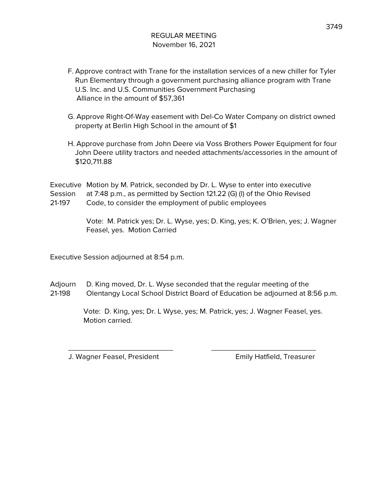- F. Approve contract with Trane for the installation services of a new chiller for Tyler Run Elementary through a government purchasing alliance program with Trane U.S. Inc. and U.S. Communities Government Purchasing Alliance in the amount of \$57,361
- G. Approve Right-Of-Way easement with Del-Co Water Company on district owned property at Berlin High School in the amount of \$1
- H. Approve purchase from John Deere via Voss Brothers Power Equipment for four John Deere utility tractors and needed attachments/accessories in the amount of \$120,711.88

Executive Motion by M. Patrick, seconded by Dr. L. Wyse to enter into executive Session at 7:48 p.m., as permitted by Section 121.22 (G) (l) of the Ohio Revised 21-197 Code, to consider the employment of public employees

> Vote: M. Patrick yes; Dr. L. Wyse, yes; D. King, yes; K. O'Brien, yes; J. Wagner Feasel, yes. Motion Carried

Executive Session adjourned at 8:54 p.m.

Adjourn D. King moved, Dr. L. Wyse seconded that the regular meeting of the 21-198 Olentangy Local School District Board of Education be adjourned at 8:56 p.m.

\_\_\_\_\_\_\_\_\_\_\_\_\_\_\_\_\_\_\_\_\_\_\_\_\_ \_\_\_\_\_\_\_\_\_\_\_\_\_\_\_\_\_\_\_\_\_\_\_\_\_

Vote: D. King, yes; Dr. L Wyse, yes; M. Patrick, yes; J. Wagner Feasel, yes. Motion carried.

J. Wagner Feasel, President Emily Hatfield, Treasurer